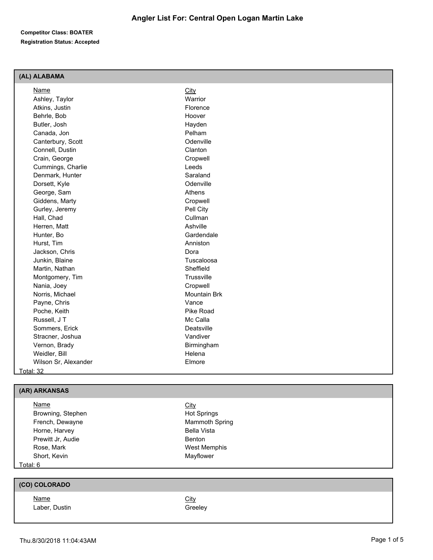#### **Competitor Class: BOATER Registration Status: Accepted**

#### **(AL) ALABAMA**

| Name                 | City         |  |
|----------------------|--------------|--|
| Ashley, Taylor       | Warrior      |  |
| Atkins, Justin       | Florence     |  |
| Behrle, Bob          | Hoover       |  |
| Butler, Josh         | Hayden       |  |
| Canada, Jon          | Pelham       |  |
| Canterbury, Scott    | Odenville    |  |
| Connell, Dustin      | Clanton      |  |
| Crain, George        | Cropwell     |  |
| Cummings, Charlie    | Leeds        |  |
| Denmark, Hunter      | Saraland     |  |
| Dorsett, Kyle        | Odenville    |  |
| George, Sam          | Athens       |  |
| Giddens, Marty       | Cropwell     |  |
| Gurley, Jeremy       | Pell City    |  |
| Hall, Chad           | Cullman      |  |
| Herren, Matt         | Ashville     |  |
| Hunter, Bo           | Gardendale   |  |
| Hurst, Tim           | Anniston     |  |
| Jackson, Chris       | Dora         |  |
| Junkin, Blaine       | Tuscaloosa   |  |
| Martin, Nathan       | Sheffield    |  |
| Montgomery, Tim      | Trussville   |  |
| Nania, Joey          | Cropwell     |  |
| Norris, Michael      | Mountain Brk |  |
| Payne, Chris         | Vance        |  |
| Poche, Keith         | Pike Road    |  |
| Russell, J T         | Mc Calla     |  |
| Sommers, Erick       | Deatsville   |  |
| Stracner, Joshua     | Vandiver     |  |
| Vernon, Brady        | Birmingham   |  |
| Weidler, Bill        | Helena       |  |
| Wilson Sr, Alexander | Elmore       |  |
| Total: 32            |              |  |

#### **(AR) ARKANSAS**

| <b>Name</b>       | <b>City</b>           |  |
|-------------------|-----------------------|--|
| Browning, Stephen | <b>Hot Springs</b>    |  |
| French, Dewayne   | <b>Mammoth Spring</b> |  |
| Horne, Harvey     | Bella Vista           |  |
| Prewitt Jr, Audie | Benton                |  |
| Rose, Mark        | West Memphis          |  |
| Short, Kevin      | Mayflower             |  |
| Total: 6          |                       |  |

# **(CO) COLORADO**

Name City Laber, Dustin Greeley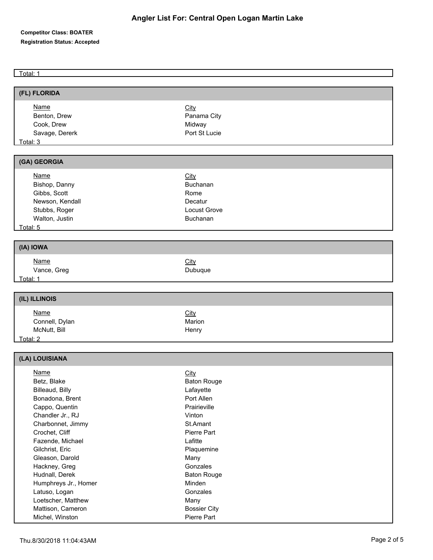### **Competitor Class: BOATER Registration Status: Accepted**

Total: 1

| (FL) FLORIDA                                                                                                                                                                                                                                                                                                                                      |                                                                                                                                                                                                                                                          |
|---------------------------------------------------------------------------------------------------------------------------------------------------------------------------------------------------------------------------------------------------------------------------------------------------------------------------------------------------|----------------------------------------------------------------------------------------------------------------------------------------------------------------------------------------------------------------------------------------------------------|
| <b>Name</b><br>Benton, Drew<br>Cook, Drew<br>Savage, Dererk<br>Total: 3                                                                                                                                                                                                                                                                           | City<br>Panama City<br>Midway<br>Port St Lucie                                                                                                                                                                                                           |
| (GA) GEORGIA                                                                                                                                                                                                                                                                                                                                      |                                                                                                                                                                                                                                                          |
| <b>Name</b><br>Bishop, Danny<br>Gibbs, Scott<br>Newson, Kendall<br>Stubbs, Roger<br>Walton, Justin<br>Total: 5                                                                                                                                                                                                                                    | <b>City</b><br>Buchanan<br>Rome<br>Decatur<br>Locust Grove<br>Buchanan                                                                                                                                                                                   |
| (IA) IOWA                                                                                                                                                                                                                                                                                                                                         |                                                                                                                                                                                                                                                          |
| <b>Name</b><br>Vance, Greg<br>Total: 1                                                                                                                                                                                                                                                                                                            | City<br>Dubuque                                                                                                                                                                                                                                          |
| (IL) ILLINOIS                                                                                                                                                                                                                                                                                                                                     |                                                                                                                                                                                                                                                          |
| <b>Name</b><br>Connell, Dylan<br>McNutt, Bill<br>Total: 2                                                                                                                                                                                                                                                                                         | <b>City</b><br>Marion<br>Henry                                                                                                                                                                                                                           |
| (LA) LOUISIANA                                                                                                                                                                                                                                                                                                                                    |                                                                                                                                                                                                                                                          |
| <b>Name</b><br>Betz, Blake<br>Billeaud, Billy<br>Bonadona, Brent<br>Cappo, Quentin<br>Chandler Jr., RJ<br>Charbonnet, Jimmy<br>Crochet, Cliff<br>Fazende, Michael<br>Gilchrist, Eric<br>Gleason, Darold<br>Hackney, Greg<br>Hudnall, Derek<br>Humphreys Jr., Homer<br>Latuso, Logan<br>Loetscher, Matthew<br>Mattison, Cameron<br>Michel, Winston | <b>City</b><br><b>Baton Rouge</b><br>Lafayette<br>Port Allen<br>Prairieville<br>Vinton<br>St.Amant<br>Pierre Part<br>Lafitte<br>Plaquemine<br>Many<br>Gonzales<br><b>Baton Rouge</b><br>Minden<br>Gonzales<br>Many<br><b>Bossier City</b><br>Pierre Part |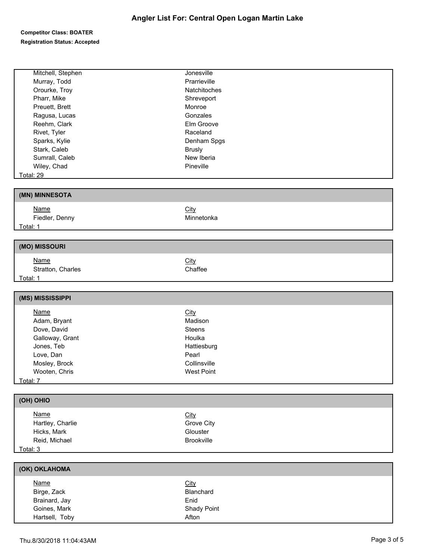### **Competitor Class: BOATER Registration Status: Accepted**

| Mitchell, Stephen              | Jonesville           |
|--------------------------------|----------------------|
| Murray, Todd                   | Prarrieville         |
| Orourke, Troy                  | Natchitoches         |
| Pharr, Mike                    | Shreveport           |
| Preuett, Brett                 | Monroe               |
| Ragusa, Lucas                  | Gonzales             |
| Reehm, Clark                   | Elm Groove           |
| Rivet, Tyler                   | Raceland             |
| Sparks, Kylie                  | Denham Spgs          |
| Stark, Caleb                   | <b>Brusly</b>        |
| Sumrall, Caleb                 | New Iberia           |
| Wiley, Chad                    | Pineville            |
|                                |                      |
| Total: 29                      |                      |
| (MN) MINNESOTA                 |                      |
| Name                           |                      |
|                                | City                 |
| Fiedler, Denny                 | Minnetonka           |
| Total: 1                       |                      |
| (MO) MISSOURI                  |                      |
| <b>Name</b>                    | City                 |
| Stratton, Charles              | Chaffee              |
| Total: 1                       |                      |
|                                |                      |
| (MS) MISSISSIPPI               |                      |
| <b>Name</b>                    | City                 |
| Adam, Bryant                   | Madison              |
| Dove, David                    | Steens               |
|                                | Houlka               |
| Galloway, Grant                |                      |
| Jones, Teb                     | Hattiesburg          |
| Love, Dan                      | Pearl                |
| Mosley, Brock                  | Collinsville         |
| Wooten, Chris                  | <b>West Point</b>    |
| Total: 7                       |                      |
| (OH) OHIO                      |                      |
| <b>Name</b>                    | City                 |
| Hartley, Charlie               | Grove City           |
| Hicks, Mark                    | Glouster             |
| Reid, Michael                  | Brookville           |
| Total: 3                       |                      |
|                                |                      |
| (OK) OKLAHOMA                  |                      |
| <b>Name</b>                    | City                 |
| Birge, Zack                    | Blanchard            |
| Brainard, Jay                  |                      |
|                                |                      |
|                                | Enid                 |
| Goines, Mark<br>Hartsell, Toby | Shady Point<br>Afton |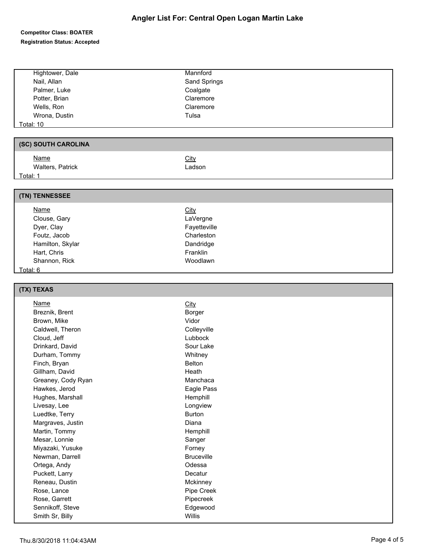# **Angler List For: Central Open Logan Martin Lake**

### **Competitor Class: BOATER Registration Status: Accepted**

| Hightower, Dale     | Mannford     |
|---------------------|--------------|
| Nail, Allan         | Sand Springs |
| Palmer, Luke        | Coalgate     |
| Potter, Brian       | Claremore    |
| Wells, Ron          | Claremore    |
| Wrona, Dustin       | Tulsa        |
| <b>Total: 10</b>    |              |
|                     |              |
| (SC) SOUTH CAROLINA |              |
| <b>Name</b>         | City         |
| Walters, Patrick    | Ladson       |
| Total: 1            |              |
|                     |              |
| (TN) TENNESSEE      |              |
| <b>Name</b>         | City         |
| Clouse, Gary        | LaVergne     |
| Dyer, Clay          | Fayetteville |
|                     |              |
| Foutz, Jacob        | Charleston   |
| Hamilton, Skylar    | Dandridge    |
| Hart, Chris         | Franklin     |
| Shannon, Rick       | Woodlawn     |
| Total: 6            |              |

| (TX) TEXAS         |                   |
|--------------------|-------------------|
| <b>Name</b>        | City              |
| Breznik, Brent     | Borger            |
| Brown, Mike        | Vidor             |
| Caldwell, Theron   | Colleyville       |
| Cloud, Jeff        | Lubbock           |
| Drinkard, David    | Sour Lake         |
| Durham, Tommy      | Whitney           |
| Finch, Bryan       | <b>Belton</b>     |
| Gillham, David     | Heath             |
| Greaney, Cody Ryan | Manchaca          |
| Hawkes, Jerod      | Eagle Pass        |
| Hughes, Marshall   | Hemphill          |
| Livesay, Lee       | Longview          |
| Luedtke, Terry     | <b>Burton</b>     |
| Margraves, Justin  | Diana             |
| Martin, Tommy      | Hemphill          |
| Mesar, Lonnie      | Sanger            |
| Miyazaki, Yusuke   | Forney            |
| Newman, Darrell    | <b>Bruceville</b> |
| Ortega, Andy       | Odessa            |
| Puckett, Larry     | Decatur           |
| Reneau, Dustin     | Mckinney          |
| Rose, Lance        | Pipe Creek        |
| Rose, Garrett      | Pipecreek         |
| Sennikoff, Steve   | Edgewood          |
| Smith Sr, Billy    | <b>Willis</b>     |